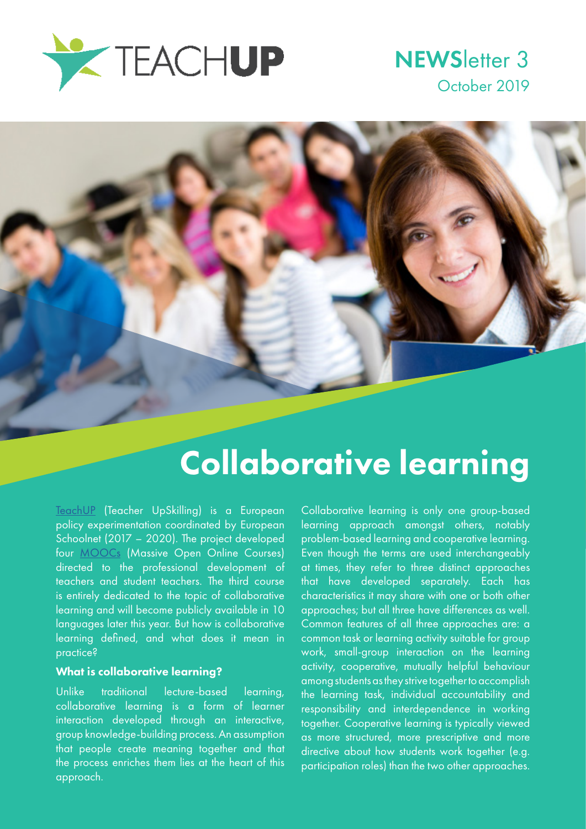

### **NEWSletter 3** October 2019



## Collaborative learning

[TeachUP](http://teachup.eun.org/) (Teacher UpSkilling) is a European policy experimentation coordinated by European Schoolnet (2017 – 2020). The project developed four [MOOCs](http://MOOCs) (Massive Open Online Courses) directed to the professional development of teachers and student teachers. The third course is entirely dedicated to the topic of collaborative learning and will become publicly available in 10 languages later this year. But how is collaborative learning defined, and what does it mean in practice?

#### What is collaborative learning?

Unlike traditional lecture-based learning, collaborative learning is a form of learner interaction developed through an interactive, group knowledge-building process. An assumption that people create meaning together and that the process enriches them lies at the heart of this approach.

Collaborative learning is only one group-based learning approach amongst others, notably problem-based learning and cooperative learning. Even though the terms are used interchangeably at times, they refer to three distinct approaches that have developed separately. Each has characteristics it may share with one or both other approaches; but all three have differences as well. Common features of all three approaches are: a common task or learning activity suitable for group work, small-group interaction on the learning activity, cooperative, mutually helpful behaviour among students as they strive together to accomplish the learning task, individual accountability and responsibility and interdependence in working together. Cooperative learning is typically viewed as more structured, more prescriptive and more directive about how students work together (e.g. participation roles) than the two other approaches.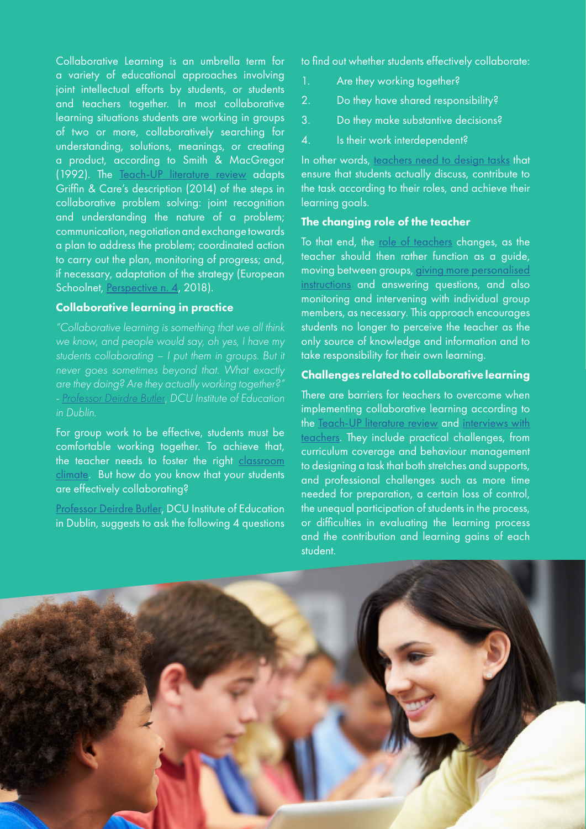Collaborative Learning is an umbrella term for a variety of educational approaches involving joint intellectual efforts by students, or students and teachers together. In most collaborative learning situations students are working in groups of two or more, collaboratively searching for understanding, solutions, meanings, or creating a product, according to Smith & MacGregor (1992). The [Teach-UP literature review](http://teachup.eun.org/moocs) adapts Griffin & Care's description (2014) of the steps in collaborative problem solving: joint recognition and understanding the nature of a problem; communication, negotiation and exchange towards a plan to address the problem; coordinated action to carry out the plan, monitoring of progress; and, if necessary, adaptation of the strategy (European Schoolnet, [Perspective n. 4](http://www.eun.org/documents/411753/665824/Perspective_Collaborative+learning_Dec2018.pdf/d711eec2-4a84-4e8b-883c-22505d486045), 2018).

#### Collaborative learning in practice

*"Collaborative learning is something that we all think we know, and people would say, oh yes, I have my*  students collaborating – I put them in groups. But it *never goes sometimes beyond that. What exactly are they doing? Are they actually working together?" - [Professor Deirdre Butler,](https://www.youtube.com/watch?v=fY4svg71_B4&feature=youtu.be) DCU Institute of Education in Dublin.* 

For group work to be effective, students must be comfortable working together. To achieve that, the teacher needs to foster the right [classroom](https://youtu.be/K_JiVA2kBR4) [climate.](https://youtu.be/K_JiVA2kBR4) But how do you know that your students are effectively collaborating?

[Professor Deirdre Butler](https://www.youtube.com/watch?v=HruRO2RKKI0&feature=youtu.be), DCU Institute of Education in Dublin, suggests to ask the following 4 questions to find out whether students effectively collaborate:

- 1. Are they working together?
- 2. Do they have shared responsibility?
- 3. Do they make substantive decisions?
- 4. Is their work interdependent?

In other words, [teachers need to design tasks](https://youtu.be/Lith-kJcYyQ) that ensure that students actually discuss, contribute to the task according to their roles, and achieve their learning goals.

#### The changing role of the teacher

To that end, the [role of teachers](https://youtu.be/VuJ8WVu05x0) changes, as the teacher should then rather function as a guide, moving between groups, [giving more personalised](https://youtu.be/o14swS44wJ0)  [instructions](https://youtu.be/o14swS44wJ0) and answering questions, and also monitoring and intervening with individual group members, as necessary. This approach encourages students no longer to perceive the teacher as the only source of knowledge and information and to take responsibility for their own learning.

#### Challenges related to collaborative learning

There are barriers for teachers to overcome when implementing collaborative learning according to the [Teach-UP literature review](http://teachup.eun.org/documents/556205/1092039/TeachUP_D1.1a_The-changing-role-and-competences-of-teachers.pdf/f1b05e36-4e2a-42f2-8907-9b17409aaf46) and [interviews with](https://youtu.be/Zbko4TLuhQg)  [teachers.](https://youtu.be/Zbko4TLuhQg) They include practical challenges, from curriculum coverage and behaviour management to designing a task that both stretches and supports, and professional challenges such as more time needed for preparation, a certain loss of control, the unequal participation of students in the process, or difficulties in evaluating the learning process and the contribution and learning gains of each student.

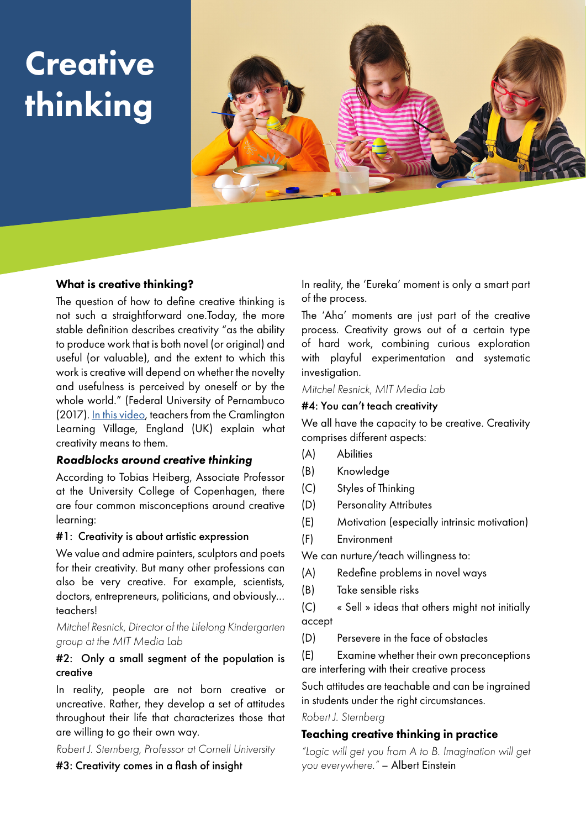# **Creative** thinking



#### What is creative thinking?

The question of how to define creative thinking is not such a straightforward one.Today, the more stable definition describes creativity "as the ability to produce work that is both novel (or original) and useful (or valuable), and the extent to which this work is creative will depend on whether the novelty and usefulness is perceived by oneself or by the whole world." (Federal University of Pernambuco (2017). [In this video](https://youtu.be/MTgEob7hy5Q), teachers from the Cramlington Learning Village, England (UK) explain what creativity means to them.

#### *Roadblocks around creative thinking*

According to Tobias Heiberg, Associate Professor at the University College of Copenhagen, there are four common misconceptions around creative learning:

#### #1: Creativity is about artistic expression

We value and admire painters, sculptors and poets for their creativity. But many other professions can also be very creative. For example, scientists, doctors, entrepreneurs, politicians, and obviously… teachers!

#### *Mitchel Resnick, Director of the Lifelong Kindergarten group at the MIT Media Lab*

#### #2: Only a small segment of the population is creative

In reality, people are not born creative or uncreative. Rather, they develop a set of attitudes throughout their life that characterizes those that are willing to go their own way.

*Robert J. Sternberg, Professor at Cornell University*

#3: Creativity comes in a flash of insight

In reality, the 'Eureka' moment is only a smart part of the process.

The 'Aha' moments are just part of the creative process. Creativity grows out of a certain type of hard work, combining curious exploration with playful experimentation and systematic investigation.

#### *Mitchel Resnick, MIT Media Lab*

#### #4: You can't teach creativity

We all have the capacity to be creative. Creativity comprises different aspects:

- (A) Abilities
- (B) Knowledge
- (C) Styles of Thinking
- (D) Personality Attributes
- (E) Motivation (especially intrinsic motivation)
- (F) Environment

We can nurture/teach willingness to:

- (A) Redefine problems in novel ways
- (B) Take sensible risks

(C) « Sell » ideas that others might not initially accept

(D) Persevere in the face of obstacles

(E) Examine whether their own preconceptions are interfering with their creative process

Such attitudes are teachable and can be ingrained in students under the right circumstances.

#### *Robert J. Sternberg*

#### Teaching creative thinking in practice

*"Logic will get you from A to B. Imagination will get you everywhere."* – Albert Einstein